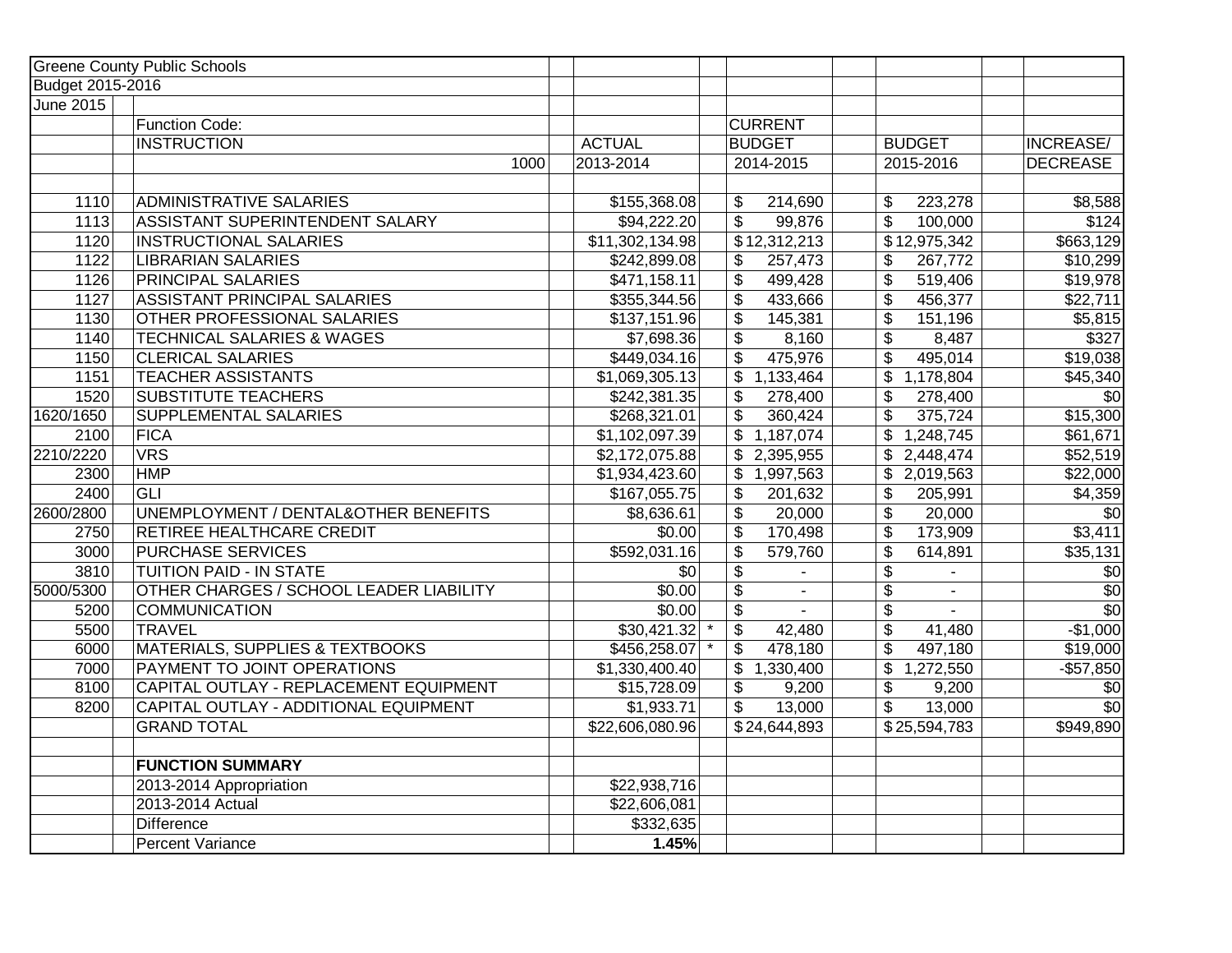|                  | <b>Greene County Public Schools</b>        |                 |                                            |                                          |                  |
|------------------|--------------------------------------------|-----------------|--------------------------------------------|------------------------------------------|------------------|
| Budget 2015-2016 |                                            |                 |                                            |                                          |                  |
| <b>June 2015</b> |                                            |                 |                                            |                                          |                  |
|                  | Function Code:                             |                 | <b>CURRENT</b>                             |                                          |                  |
|                  | <b>INSTRUCTION</b>                         | <b>ACTUAL</b>   | <b>BUDGET</b>                              | <b>BUDGET</b>                            | <b>INCREASE/</b> |
|                  | 1000                                       | 2013-2014       | 2014-2015                                  | 2015-2016                                | <b>DECREASE</b>  |
| 1110             | <b>ADMINISTRATIVE SALARIES</b>             | \$155,368.08    | 214,690<br>\$                              | 223,278<br>\$                            | \$8,588          |
| 1113             | <b>ASSISTANT SUPERINTENDENT SALARY</b>     | \$94,222.20     | $\overline{\mathcal{S}}$<br>99,876         | $\overline{\$}$<br>100,000               | \$124            |
| 1120             | <b>INSTRUCTIONAL SALARIES</b>              | \$11,302,134.98 | \$12,312,213                               | \$12,975,342                             | \$663,129        |
| 1122             | <b>LIBRARIAN SALARIES</b>                  | \$242,899.08    | 257,473<br>\$                              | \$<br>267,772                            | \$10,299         |
| 1126             | <b>PRINCIPAL SALARIES</b>                  | \$471,158.11    | $\overline{\$}$<br>499,428                 | \$<br>519,406                            | \$19,978         |
| 1127             | <b>ASSISTANT PRINCIPAL SALARIES</b>        | \$355,344.56    | $\overline{\mathcal{S}}$<br>433,666        | $\overline{\mathfrak{s}}$<br>456,377     | \$22,711         |
| 1130             | OTHER PROFESSIONAL SALARIES                | \$137,151.96    | $\boldsymbol{\mathsf{S}}$<br>145,381       | $\boldsymbol{\mathsf{S}}$<br>151,196     | \$5,815          |
| 1140             | <b>TECHNICAL SALARIES &amp; WAGES</b>      | \$7,698.36      | \$<br>8,160                                | $\overline{\$}$<br>8,487                 | \$327            |
| 1150             | <b>CLERICAL SALARIES</b>                   | \$449,034.16    | \$<br>475,976                              | $\overline{\mathfrak{s}}$<br>495,014     | \$19,038         |
| 1151             | <b>TEACHER ASSISTANTS</b>                  | \$1,069,305.13  | \$1,133,464                                | \$<br>1,178,804                          | \$45,340         |
| 1520             | <b>SUBSTITUTE TEACHERS</b>                 | \$242,381.35    | $\overline{\mathcal{S}}$<br>278,400        | $\overline{\mathcal{L}}$                 | \$0              |
| 1620/1650        |                                            |                 |                                            | 278,400                                  |                  |
|                  | <b>SUPPLEMENTAL SALARIES</b>               | \$268,321.01    | \$<br>360,424                              | $\overline{\$}$<br>375,724               | \$15,300         |
| 2100             | FICA                                       | \$1,102,097.39  | \$1,187,074                                | $\sqrt{3}$ 1,248,745                     | \$61,671         |
| 2210/2220        | <b>VRS</b>                                 | \$2,172,075.88  | \$2,395,955                                | \$2,448,474                              | \$52,519         |
| 2300             | <b>HMP</b>                                 | \$1,934,423.60  | \$1,997,563                                | \$2,019,563                              | \$22,000         |
| 2400             | GLI                                        | \$167,055.75    | \$<br>201,632                              | \$<br>205,991                            | \$4,359          |
| 2600/2800        | UNEMPLOYMENT / DENTAL&OTHER BENEFITS       | \$8,636.61      | $\boldsymbol{\mathsf{S}}$<br>20,000        | \$<br>20,000                             | \$0              |
| 2750             | <b>RETIREE HEALTHCARE CREDIT</b>           | \$0.00          | \$<br>170,498                              | $\overline{\mathcal{S}}$<br>173,909      | 3,411            |
| 3000             | <b>PURCHASE SERVICES</b>                   | \$592,031.16    | $\overline{\$}$<br>579,760                 | $\overline{\$}$<br>614,891               | \$35,131         |
| 3810             | <b>TUITION PAID - IN STATE</b>             | $\sqrt{6}$      | \$                                         | \$                                       | \$0              |
| 5000/5300        | OTHER CHARGES / SCHOOL LEADER LIABILITY    | \$0.00          | $\overline{\mathbf{e}}$<br>$\sim$          | $\overline{\mathcal{S}}$<br>$\mathbf{r}$ | $\overline{60}$  |
| 5200             | <b>COMMUNICATION</b>                       | \$0.00          | $\overline{\mathcal{L}}$<br>$\blacksquare$ | $\overline{\$}$                          | $\overline{30}$  |
| 5500             | <b>TRAVEL</b>                              | \$30,421.32     | \$<br>42,480                               | $\overline{\mathcal{G}}$<br>41,480       | $-$1,000$        |
| 6000             | <b>MATERIALS, SUPPLIES &amp; TEXTBOOKS</b> | \$456,258.07    | $\boldsymbol{\mathsf{S}}$<br>478,180       | $\overline{\mathfrak{s}}$<br>497,180     | \$19,000         |
| 7000             | PAYMENT TO JOINT OPERATIONS                | \$1,330,400.40  | \$1,330,400                                | \$<br>1,272,550                          | $-$57,850$       |
| 8100             | CAPITAL OUTLAY - REPLACEMENT EQUIPMENT     | \$15,728.09     | \$<br>9,200                                | $\overline{\mathcal{G}}$<br>9,200        | $\sqrt{6}$       |
| 8200             | CAPITAL OUTLAY - ADDITIONAL EQUIPMENT      | \$1,933.71      | \$<br>13,000                               | \$<br>13,000                             | $\overline{50}$  |
|                  | <b>GRAND TOTAL</b>                         | \$22,606,080.96 | \$24,644,893                               | \$25,594,783                             | \$949,890        |
|                  | <b>FUNCTION SUMMARY</b>                    |                 |                                            |                                          |                  |
|                  | 2013-2014 Appropriation                    | \$22,938,716    |                                            |                                          |                  |
|                  | 2013-2014 Actual                           | \$22,606,081    |                                            |                                          |                  |
|                  | <b>Difference</b>                          | \$332,635       |                                            |                                          |                  |
|                  |                                            |                 |                                            |                                          |                  |
|                  | <b>Percent Variance</b>                    | 1.45%           |                                            |                                          |                  |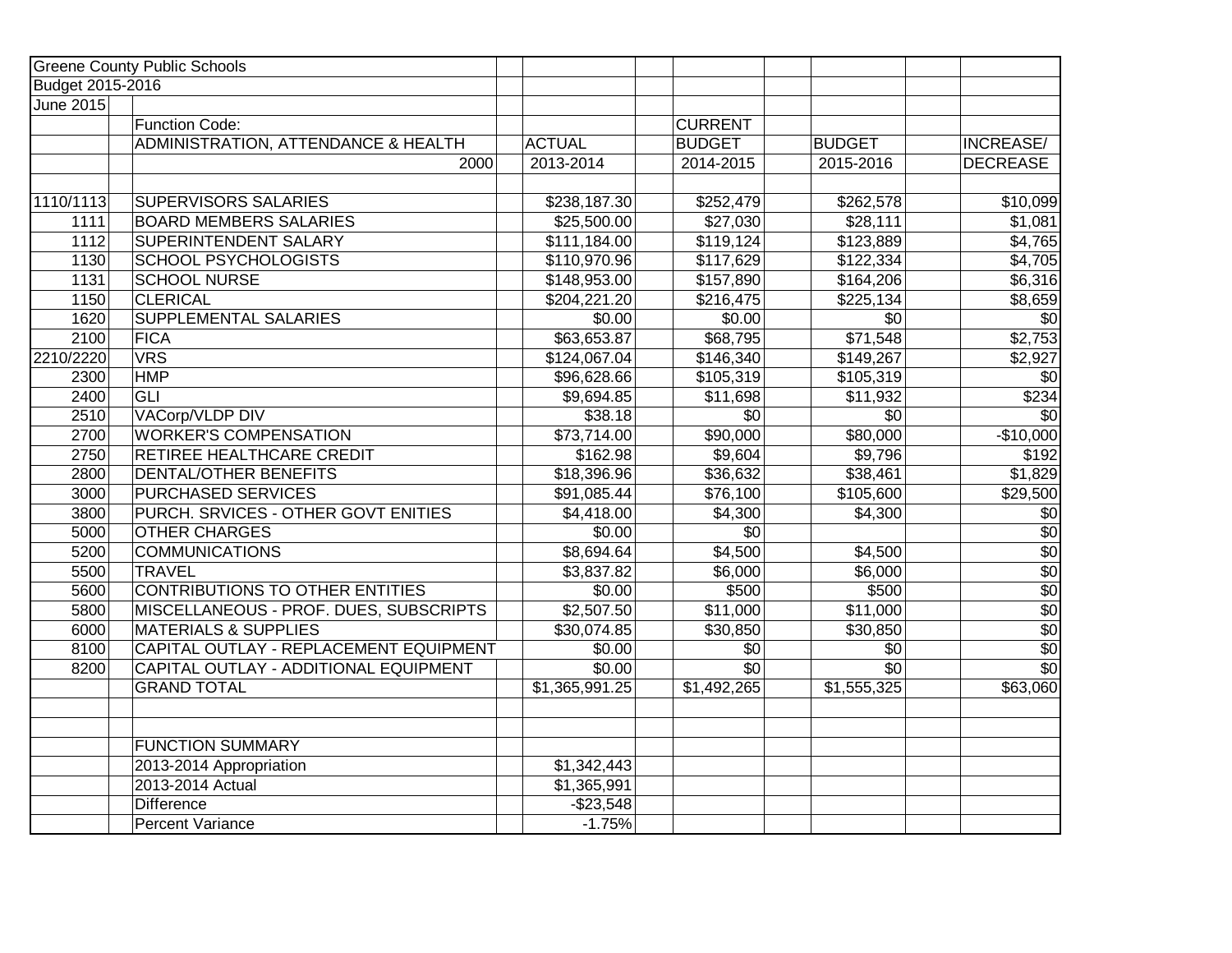|                  | <b>Greene County Public Schools</b>    |                        |                 |                  |                  |
|------------------|----------------------------------------|------------------------|-----------------|------------------|------------------|
| Budget 2015-2016 |                                        |                        |                 |                  |                  |
| <b>June 2015</b> |                                        |                        |                 |                  |                  |
|                  | Function Code:                         |                        | <b>CURRENT</b>  |                  |                  |
|                  | ADMINISTRATION, ATTENDANCE & HEALTH    | <b>ACTUAL</b>          | <b>BUDGET</b>   | <b>BUDGET</b>    | INCREASE/        |
|                  | 2000                                   | 2013-2014              | 2014-2015       | 2015-2016        | <b>DECREASE</b>  |
|                  |                                        |                        |                 |                  |                  |
| 1110/1113        | SUPERVISORS SALARIES                   | \$238,187.30           | \$252,479       | \$262,578        | \$10,099         |
| 1111             | <b>BOARD MEMBERS SALARIES</b>          | \$25,500.00            | \$27,030        | \$28,111         | \$1,081          |
| 1112             | SUPERINTENDENT SALARY                  | \$111,184.00           | \$119,124       | \$123,889        | \$4,765          |
| 1130             | <b>SCHOOL PSYCHOLOGISTS</b>            | \$110,970.96           | \$117,629       | \$122,334        | \$4,705          |
| 1131             | <b>SCHOOL NURSE</b>                    | \$148,953.00           | \$157,890       | \$164,206        | \$6,316          |
| 1150             | <b>CLERICAL</b>                        | \$204,221.20           | \$216,475       | \$225,134        | \$8,659          |
| 1620             | <b>SUPPLEMENTAL SALARIES</b>           | \$0.00                 | \$0.00          | $\sqrt{6}$       | $\sqrt{6}$       |
| 2100             | <b>FICA</b>                            | \$63,653.87            | \$68,795        | \$71,548         | \$2,753          |
| 2210/2220        | <b>VRS</b>                             | \$124,067.04           | \$146,340       | \$149,267        | \$2,927          |
| 2300             | <b>HMP</b>                             | \$96,628.66            | \$105,319       | \$105,319        | $\frac{6}{5}$    |
| 2400             | <b>GLI</b>                             | \$9,694.85             | \$11,698        | \$11,932         | \$234            |
| 2510             | VACorp/VLDP DIV                        | \$38.18                | $\overline{30}$ | $\overline{\$0}$ | $\overline{30}$  |
| 2700             | <b>WORKER'S COMPENSATION</b>           | \$73,714.00            | \$90,000        | \$80,000         | $-$10,000$       |
| 2750             | RETIREE HEALTHCARE CREDIT              | \$162.98               | \$9,604         | \$9,796          | \$192            |
| 2800             | <b>DENTAL/OTHER BENEFITS</b>           | \$18,396.96            | \$36,632        | \$38,461         | \$1,829          |
| 3000             | <b>PURCHASED SERVICES</b>              | \$91,085.44            | \$76,100        | \$105,600        | \$29,500         |
| 3800             | PURCH. SRVICES - OTHER GOVT ENITIES    | \$4,418.00             | \$4,300         | \$4,300          | $\frac{6}{5}$    |
| 5000             | <b>OTHER CHARGES</b>                   | \$0.00                 | $\overline{30}$ |                  | $\overline{30}$  |
| 5200             | <b>COMMUNICATIONS</b>                  | $\overline{$8,694.64}$ | \$4,500         | \$4,500          | $\sqrt{$0}$      |
| 5500             | <b>TRAVEL</b>                          | \$3,837.82             | \$6,000         | \$6,000          | $rac{1}{30}$     |
| 5600             | CONTRIBUTIONS TO OTHER ENTITIES        | \$0.00                 | \$500           | \$500            |                  |
| 5800             | MISCELLANEOUS - PROF. DUES, SUBSCRIPTS | \$2,507.50             | \$11,000        | \$11,000         |                  |
| 6000             | <b>MATERIALS &amp; SUPPLIES</b>        | \$30,074.85            | \$30,850        | \$30,850         | $\overline{\$0}$ |
| 8100             | CAPITAL OUTLAY - REPLACEMENT EQUIPMENT | \$0.00                 | $\sqrt{$0}$     | $\sqrt{6}$       | $\overline{30}$  |
| 8200             | CAPITAL OUTLAY - ADDITIONAL EQUIPMENT  | \$0.00                 | $\overline{30}$ | $\overline{30}$  | $\overline{30}$  |
|                  | <b>GRAND TOTAL</b>                     | \$1,365,991.25         | \$1,492,265     | \$1,555,325      | \$63,060         |
|                  |                                        |                        |                 |                  |                  |
|                  |                                        |                        |                 |                  |                  |
|                  | <b>FUNCTION SUMMARY</b>                |                        |                 |                  |                  |
|                  | 2013-2014 Appropriation                | \$1,342,443            |                 |                  |                  |
|                  | 2013-2014 Actual                       | \$1,365,991            |                 |                  |                  |
|                  | <b>Difference</b>                      | $-$23,548$             |                 |                  |                  |
|                  | Percent Variance                       | $-1.75%$               |                 |                  |                  |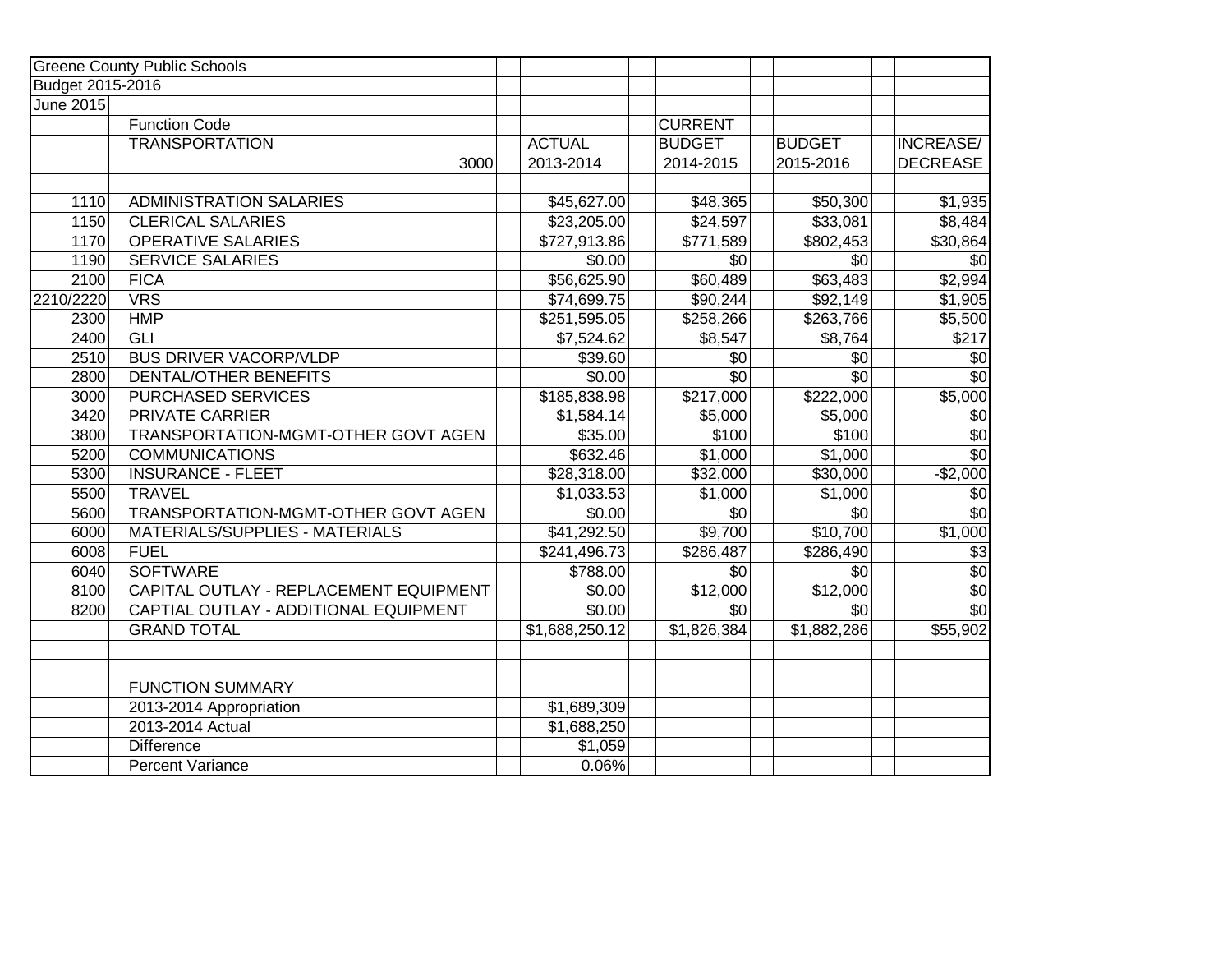|                  | <b>Greene County Public Schools</b>    |                |                |               |                     |
|------------------|----------------------------------------|----------------|----------------|---------------|---------------------|
| Budget 2015-2016 |                                        |                |                |               |                     |
| <b>June 2015</b> |                                        |                |                |               |                     |
|                  | <b>Function Code</b>                   |                | <b>CURRENT</b> |               |                     |
|                  | <b>TRANSPORTATION</b>                  | <b>ACTUAL</b>  | <b>BUDGET</b>  | <b>BUDGET</b> | INCREASE/           |
|                  | 3000                                   | 2013-2014      | 2014-2015      | 2015-2016     | <b>DECREASE</b>     |
|                  |                                        |                |                |               |                     |
| 1110             | <b>ADMINISTRATION SALARIES</b>         | \$45,627.00    | \$48,365       | \$50,300      | \$1,935             |
| 1150             | <b>CLERICAL SALARIES</b>               | \$23,205.00    | \$24,597       | \$33,081      | $\overline{$8,484}$ |
| 1170             | <b>OPERATIVE SALARIES</b>              | \$727,913.86   | \$771,589      | \$802,453     | \$30,864            |
| 1190             | <b>SERVICE SALARIES</b>                | \$0.00         | \$0            | \$0           | \$0                 |
| 2100             | <b>FICA</b>                            | \$56,625.90    | \$60,489       | \$63,483      | \$2,994             |
| 2210/2220        | <b>VRS</b>                             | \$74,699.75    | \$90,244       | \$92,149      | \$1,905             |
| 2300             | <b>HMP</b>                             | \$251,595.05   | \$258,266      | \$263,766     | \$5,500             |
| 2400             | <b>GLI</b>                             | \$7,524.62     | \$8,547        | \$8,764       | \$217               |
| 2510             | <b>BUS DRIVER VACORP/VLDP</b>          | \$39.60        | \$0            | $\sqrt{6}$    | $\frac{6}{2}$       |
| 2800             | <b>DENTAL/OTHER BENEFITS</b>           | \$0.00         | \$0            | \$0           | \$0                 |
| 3000             | PURCHASED SERVICES                     | \$185,838.98   | \$217,000      | \$222,000     | \$5,000             |
| 3420             | <b>PRIVATE CARRIER</b>                 | \$1,584.14     | \$5,000        | \$5,000       | \$0                 |
| 3800             | TRANSPORTATION-MGMT-OTHER GOVT AGEN    | \$35.00        | \$100          | \$100         | $\sqrt{6}$          |
| 5200             | <b>COMMUNICATIONS</b>                  | \$632.46       | \$1,000        | \$1,000       | \$0                 |
| 5300             | <b>INSURANCE - FLEET</b>               | \$28,318.00    | \$32,000       | \$30,000      | $-$ \$2,000         |
| 5500             | <b>TRAVEL</b>                          | \$1,033.53     | \$1,000        | \$1,000       | \$0                 |
| 5600             | TRANSPORTATION-MGMT-OTHER GOVT AGEN    | \$0.00         | \$0            | \$0           | $\sqrt{$0}$         |
| 6000             | <b>MATERIALS/SUPPLIES - MATERIALS</b>  | \$41,292.50    | \$9,700        | \$10,700      | \$1,000             |
| 6008             | <b>FUEL</b>                            | \$241,496.73   | \$286,487      | \$286,490     | $\overline{$3}$     |
| 6040             | <b>SOFTWARE</b>                        | \$788.00       | \$0            | \$0           | $\overline{50}$     |
| 8100             | CAPITAL OUTLAY - REPLACEMENT EQUIPMENT | \$0.00         | \$12,000       | \$12,000      | \$0                 |
| 8200             | CAPTIAL OUTLAY - ADDITIONAL EQUIPMENT  | \$0.00         | \$0            | \$0           | $\overline{50}$     |
|                  | <b>GRAND TOTAL</b>                     | \$1,688,250.12 | \$1,826,384    | \$1,882,286   | \$55,902            |
|                  |                                        |                |                |               |                     |
|                  |                                        |                |                |               |                     |
|                  | <b>FUNCTION SUMMARY</b>                |                |                |               |                     |
|                  | 2013-2014 Appropriation                | \$1,689,309    |                |               |                     |
|                  | 2013-2014 Actual                       | \$1,688,250    |                |               |                     |
|                  | <b>Difference</b>                      | \$1,059        |                |               |                     |
|                  | <b>Percent Variance</b>                | 0.06%          |                |               |                     |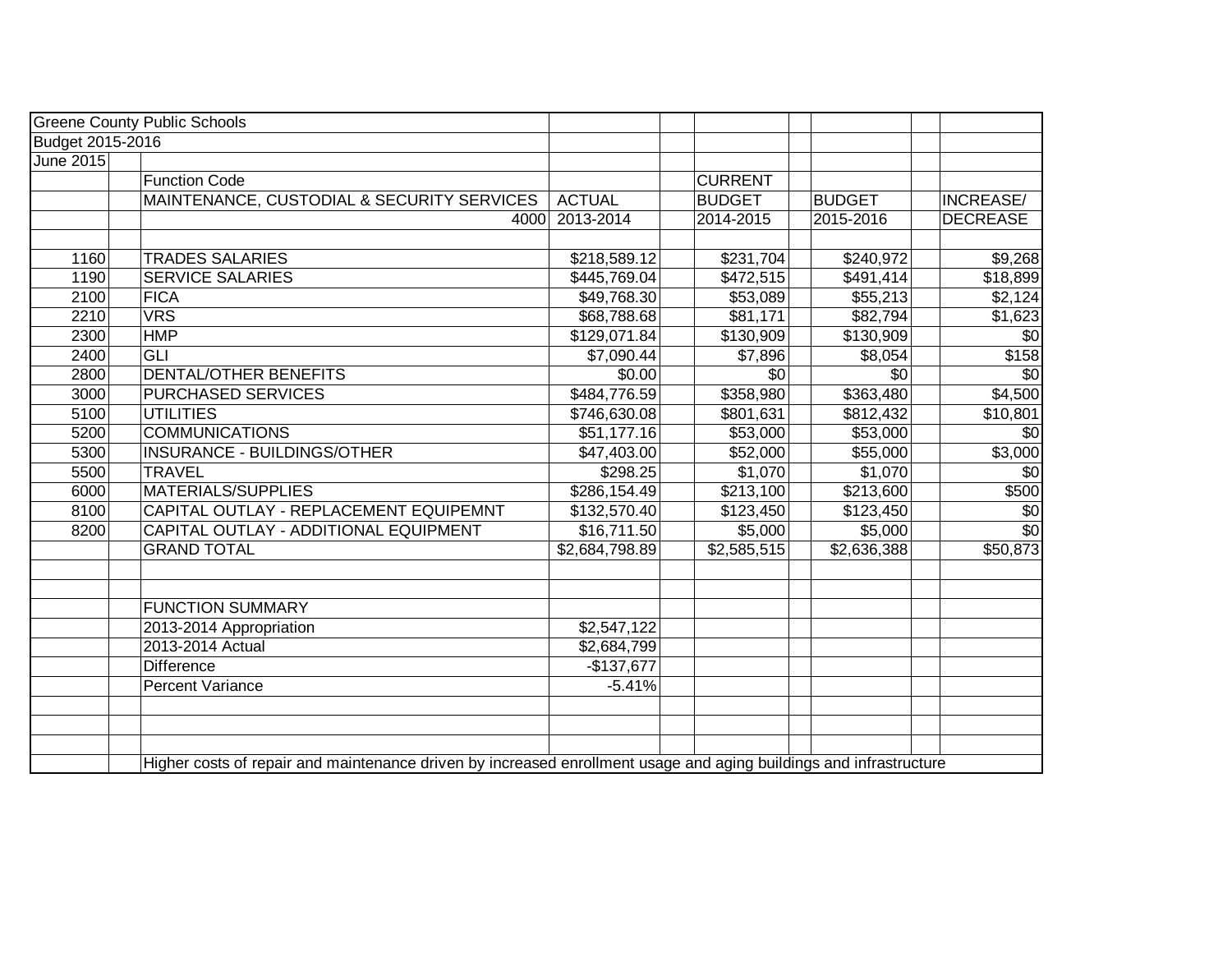|                  | <b>Greene County Public Schools</b>                                                                                |                |                |               |                  |
|------------------|--------------------------------------------------------------------------------------------------------------------|----------------|----------------|---------------|------------------|
| Budget 2015-2016 |                                                                                                                    |                |                |               |                  |
| <b>June 2015</b> |                                                                                                                    |                |                |               |                  |
|                  | <b>Function Code</b>                                                                                               |                | <b>CURRENT</b> |               |                  |
|                  | MAINTENANCE, CUSTODIAL & SECURITY SERVICES                                                                         | <b>ACTUAL</b>  | <b>BUDGET</b>  | <b>BUDGET</b> | <b>INCREASE/</b> |
|                  | 4000                                                                                                               | 2013-2014      | 2014-2015      | 2015-2016     | <b>DECREASE</b>  |
|                  |                                                                                                                    |                |                |               |                  |
| 1160             | <b>TRADES SALARIES</b>                                                                                             | \$218,589.12   | \$231,704      | \$240,972     | \$9,268          |
| 1190             | <b>SERVICE SALARIES</b>                                                                                            | \$445,769.04   | \$472,515      | \$491,414     | \$18,899         |
| 2100             | <b>FICA</b>                                                                                                        | \$49,768.30    | \$53,089       | \$55,213      | \$2,124          |
| 2210             | <b>VRS</b>                                                                                                         | \$68,788.68    | \$81,171       | \$82,794      | \$1,623          |
| 2300             | <b>HMP</b>                                                                                                         | \$129,071.84   | \$130,909      | \$130,909     | \$0              |
| 2400             | <b>GLI</b>                                                                                                         | \$7,090.44     | \$7,896        | \$8,054       | \$158            |
| 2800             | <b>DENTAL/OTHER BENEFITS</b>                                                                                       | \$0.00         | \$0            | \$0           | \$0              |
| 3000             | <b>PURCHASED SERVICES</b>                                                                                          | \$484,776.59   | \$358,980      | \$363,480     | \$4,500          |
| 5100             | <b>UTILITIES</b>                                                                                                   | \$746,630.08   | \$801,631      | \$812,432     | \$10,801         |
| 5200             | <b>COMMUNICATIONS</b>                                                                                              | \$51,177.16    | \$53,000       | \$53,000      | \$0              |
| 5300             | INSURANCE - BUILDINGS/OTHER                                                                                        | \$47,403.00    | \$52,000       | \$55,000      | \$3,000          |
| 5500             | <b>TRAVEL</b>                                                                                                      | \$298.25       | \$1,070        | \$1,070       | $\overline{50}$  |
| 6000             | <b>MATERIALS/SUPPLIES</b>                                                                                          | \$286,154.49   | \$213,100      | \$213,600     | \$500            |
| 8100             | CAPITAL OUTLAY - REPLACEMENT EQUIPEMNT                                                                             | \$132,570.40   | \$123,450      | \$123,450     | \$0              |
| 8200             | CAPITAL OUTLAY - ADDITIONAL EQUIPMENT                                                                              | \$16,711.50    | \$5,000        | \$5,000       | $\overline{60}$  |
|                  | <b>GRAND TOTAL</b>                                                                                                 | \$2,684,798.89 | \$2,585,515    | \$2,636,388   | \$50,873         |
|                  |                                                                                                                    |                |                |               |                  |
|                  |                                                                                                                    |                |                |               |                  |
|                  | <b>FUNCTION SUMMARY</b>                                                                                            |                |                |               |                  |
|                  | 2013-2014 Appropriation                                                                                            | \$2,547,122    |                |               |                  |
|                  | 2013-2014 Actual                                                                                                   | \$2,684,799    |                |               |                  |
|                  | <b>Difference</b>                                                                                                  | $-$137,677$    |                |               |                  |
|                  | <b>Percent Variance</b>                                                                                            | $-5.41%$       |                |               |                  |
|                  |                                                                                                                    |                |                |               |                  |
|                  |                                                                                                                    |                |                |               |                  |
|                  |                                                                                                                    |                |                |               |                  |
|                  | Higher costs of repair and maintenance driven by increased enrollment usage and aging buildings and infrastructure |                |                |               |                  |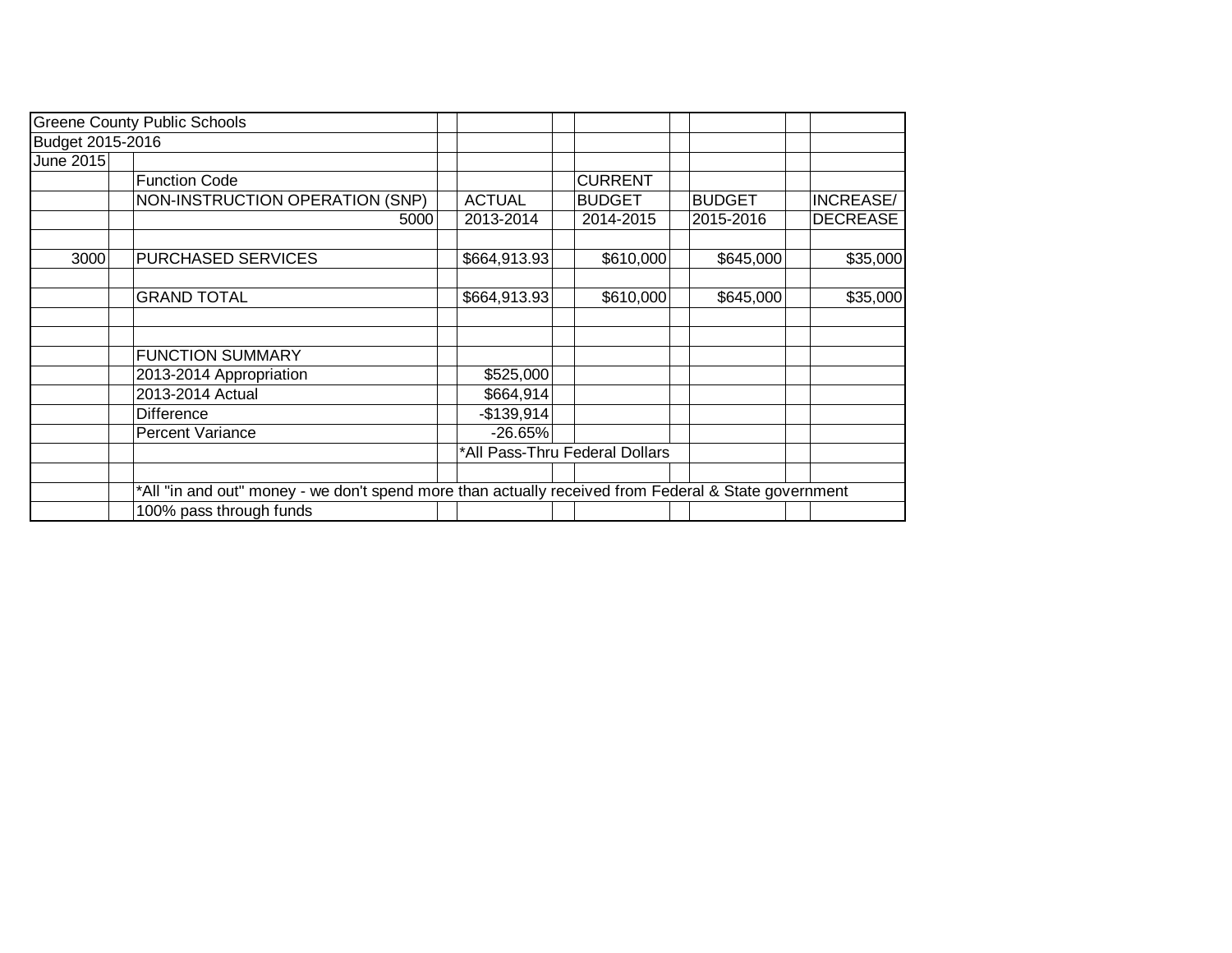|                  | <b>Greene County Public Schools</b>                                                                  |               |                                |               |                 |
|------------------|------------------------------------------------------------------------------------------------------|---------------|--------------------------------|---------------|-----------------|
| Budget 2015-2016 |                                                                                                      |               |                                |               |                 |
| June 2015        |                                                                                                      |               |                                |               |                 |
|                  | <b>Function Code</b>                                                                                 |               | <b>CURRENT</b>                 |               |                 |
|                  | NON-INSTRUCTION OPERATION (SNP)                                                                      | <b>ACTUAL</b> | <b>BUDGET</b>                  | <b>BUDGET</b> | INCREASE/       |
|                  | 5000                                                                                                 | 2013-2014     | 2014-2015                      | 2015-2016     | <b>DECREASE</b> |
| 3000             | <b>PURCHASED SERVICES</b>                                                                            | \$664,913.93  | \$610,000                      | \$645,000     | \$35,000        |
|                  |                                                                                                      |               |                                |               |                 |
|                  | <b>GRAND TOTAL</b>                                                                                   | \$664,913.93  | \$610,000                      | \$645,000     | \$35,000        |
|                  |                                                                                                      |               |                                |               |                 |
|                  | <b>FUNCTION SUMMARY</b>                                                                              |               |                                |               |                 |
|                  | 2013-2014 Appropriation                                                                              | \$525,000     |                                |               |                 |
|                  | 2013-2014 Actual                                                                                     | \$664,914     |                                |               |                 |
|                  | <b>Difference</b>                                                                                    | $-$139,914$   |                                |               |                 |
|                  | Percent Variance                                                                                     | $-26.65%$     |                                |               |                 |
|                  |                                                                                                      |               | *All Pass-Thru Federal Dollars |               |                 |
|                  |                                                                                                      |               |                                |               |                 |
|                  | *All "in and out" money - we don't spend more than actually received from Federal & State government |               |                                |               |                 |
|                  | 100% pass through funds                                                                              |               |                                |               |                 |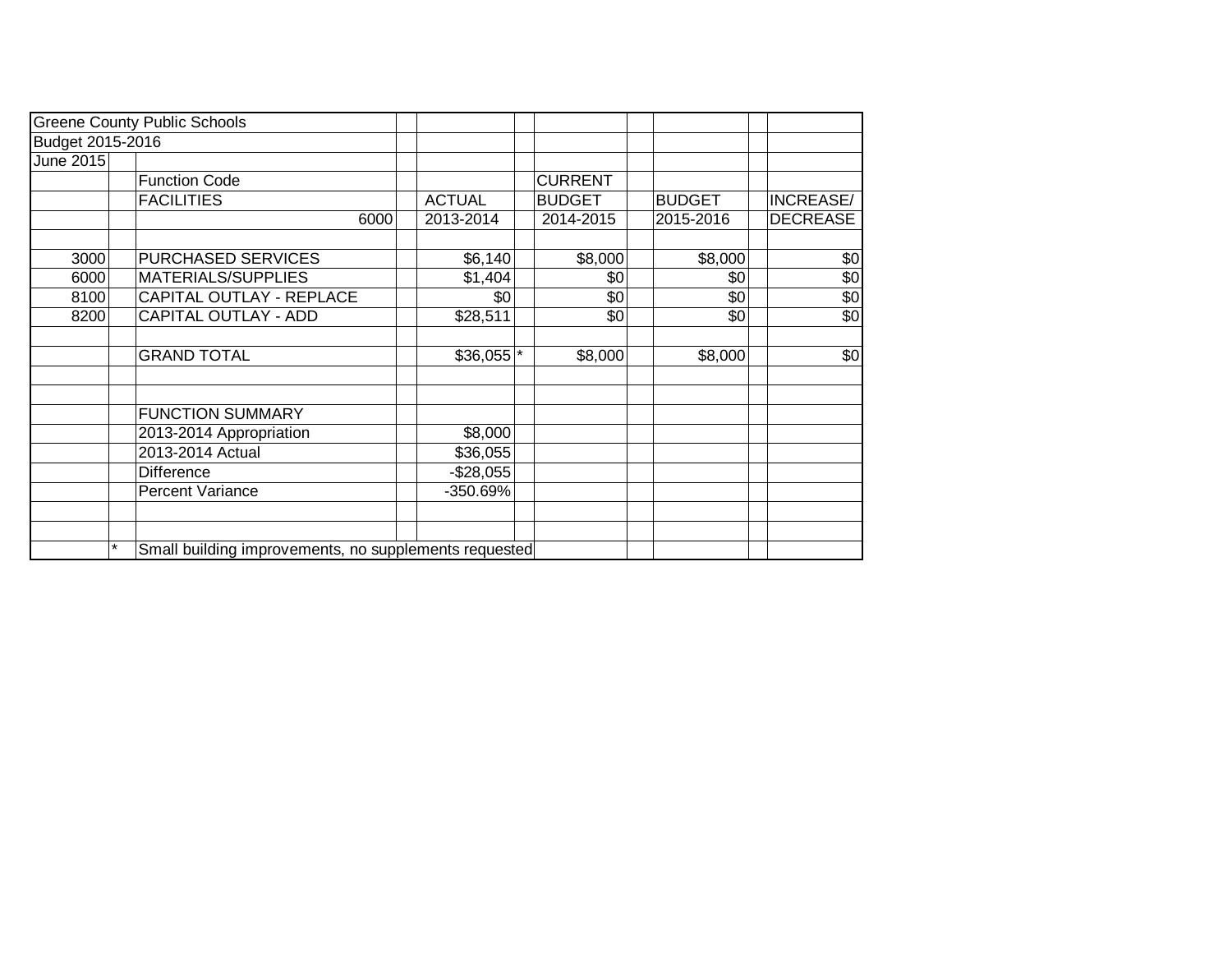|                  | <b>Greene County Public Schools</b>                              |                        |                |               |                 |
|------------------|------------------------------------------------------------------|------------------------|----------------|---------------|-----------------|
| Budget 2015-2016 |                                                                  |                        |                |               |                 |
| June 2015        |                                                                  |                        |                |               |                 |
|                  | <b>Function Code</b>                                             |                        | <b>CURRENT</b> |               |                 |
|                  | <b>FACILITIES</b>                                                | <b>ACTUAL</b>          | <b>BUDGET</b>  | <b>BUDGET</b> | INCREASE/       |
|                  | 6000                                                             | 2013-2014              | 2014-2015      | 2015-2016     | <b>DECREASE</b> |
|                  |                                                                  |                        |                |               |                 |
| 3000             | PURCHASED SERVICES                                               | \$6,140                | \$8,000        | \$8,000       | \$0             |
| 6000             | MATERIALS/SUPPLIES                                               | \$1,404                | \$0            | \$0           | \$0             |
| 8100             | CAPITAL OUTLAY - REPLACE                                         | \$0                    | \$0            | \$0           | \$0             |
| 8200             | <b>CAPITAL OUTLAY - ADD</b>                                      | \$28,511               | \$0            | \$0           | \$0             |
|                  |                                                                  |                        |                |               |                 |
|                  | <b>GRAND TOTAL</b>                                               | $$36,055$ <sup>*</sup> | \$8,000        | \$8,000       | \$0             |
|                  |                                                                  |                        |                |               |                 |
|                  |                                                                  |                        |                |               |                 |
|                  | <b>FUNCTION SUMMARY</b>                                          |                        |                |               |                 |
|                  | 2013-2014 Appropriation                                          | \$8,000                |                |               |                 |
|                  | 2013-2014 Actual                                                 | \$36,055               |                |               |                 |
|                  | Difference                                                       | $-$28,055$             |                |               |                 |
|                  | <b>Percent Variance</b>                                          | -350.69%               |                |               |                 |
|                  |                                                                  |                        |                |               |                 |
|                  |                                                                  |                        |                |               |                 |
|                  | $\star$<br>Small building improvements, no supplements requested |                        |                |               |                 |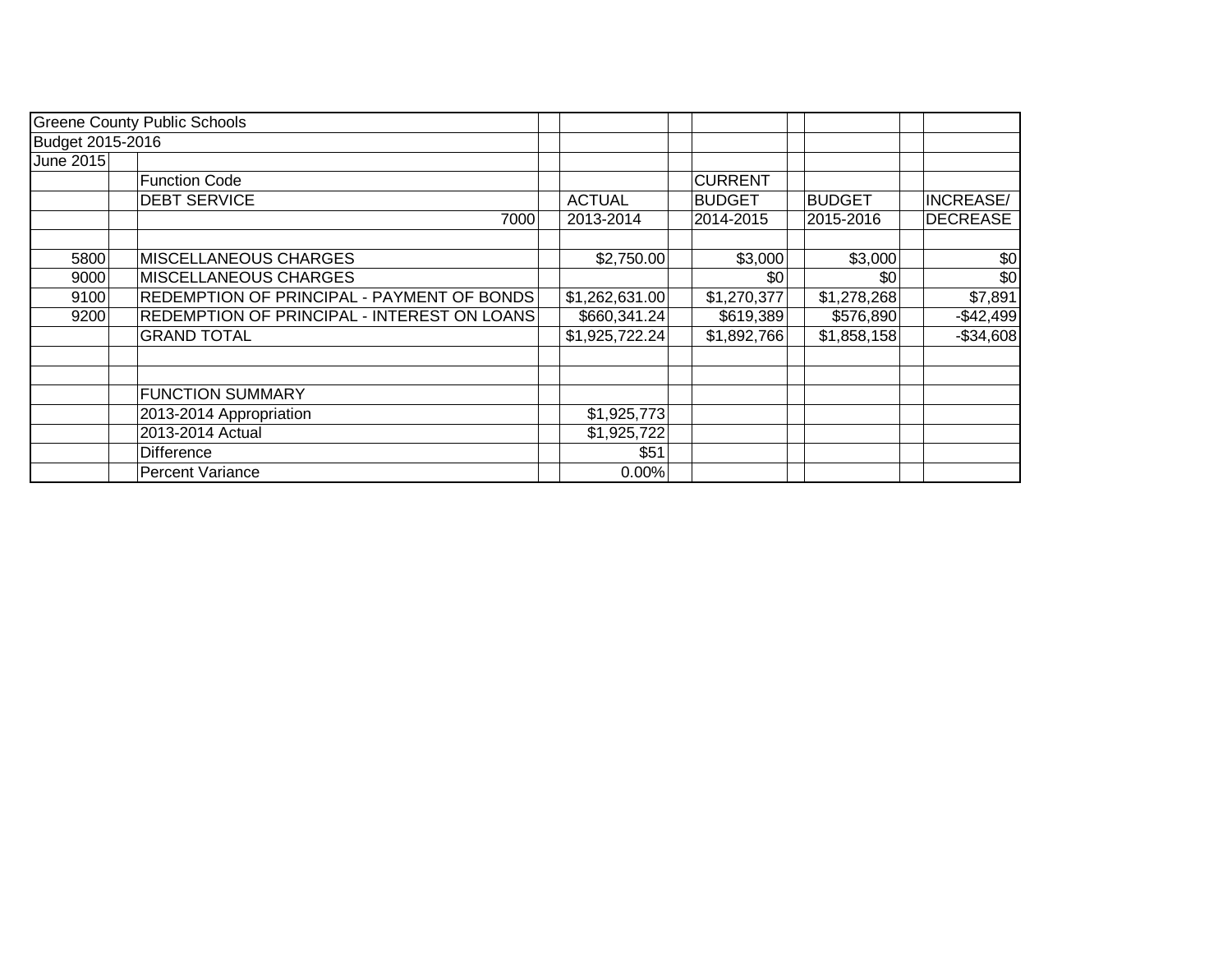|                  | <b>Greene County Public Schools</b>         |                |                |               |                  |
|------------------|---------------------------------------------|----------------|----------------|---------------|------------------|
| Budget 2015-2016 |                                             |                |                |               |                  |
| June 2015        |                                             |                |                |               |                  |
|                  | <b>Function Code</b>                        |                | <b>CURRENT</b> |               |                  |
|                  | <b>DEBT SERVICE</b>                         | <b>ACTUAL</b>  | <b>BUDGET</b>  | <b>BUDGET</b> | <b>INCREASE/</b> |
|                  | 7000                                        | 2013-2014      | 2014-2015      | 2015-2016     | <b>DECREASE</b>  |
|                  |                                             |                |                |               |                  |
| 5800             | <b>MISCELLANEOUS CHARGES</b>                | \$2,750.00     | \$3,000        | \$3,000       | \$0              |
| 9000             | MISCELLANEOUS CHARGES                       |                | \$0            | \$0           | \$0              |
| 9100             | REDEMPTION OF PRINCIPAL - PAYMENT OF BONDS  | \$1,262,631.00 | \$1,270,377    | \$1,278,268   | \$7,891          |
| 9200             | REDEMPTION OF PRINCIPAL - INTEREST ON LOANS | \$660,341.24]  | \$619,389      | \$576,890     | $-$42,499$       |
|                  | <b>GRAND TOTAL</b>                          | \$1,925,722.24 | \$1,892,766    | \$1,858,158   | $-$ \$34,608     |
|                  |                                             |                |                |               |                  |
|                  | <b>FUNCTION SUMMARY</b>                     |                |                |               |                  |
|                  | 2013-2014 Appropriation                     | \$1,925,773    |                |               |                  |
|                  | 2013-2014 Actual                            | \$1,925,722    |                |               |                  |
|                  | <b>Difference</b>                           | \$51           |                |               |                  |
|                  | <b>Percent Variance</b>                     | 0.00%          |                |               |                  |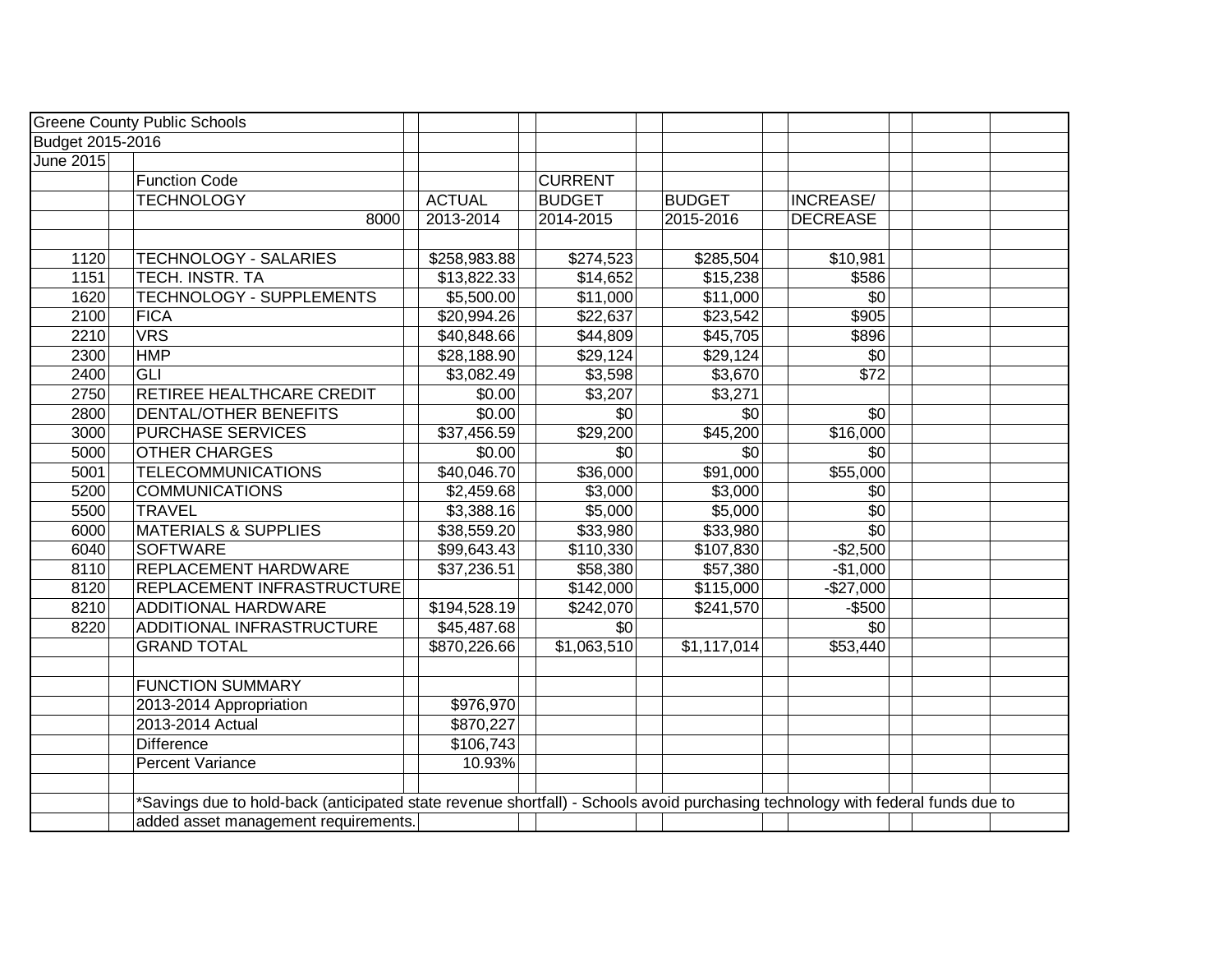|                  | <b>Greene County Public Schools</b>                                                                                            |               |                |                 |                  |  |
|------------------|--------------------------------------------------------------------------------------------------------------------------------|---------------|----------------|-----------------|------------------|--|
| Budget 2015-2016 |                                                                                                                                |               |                |                 |                  |  |
| June 2015        |                                                                                                                                |               |                |                 |                  |  |
|                  | <b>Function Code</b>                                                                                                           |               | <b>CURRENT</b> |                 |                  |  |
|                  | <b>TECHNOLOGY</b>                                                                                                              | <b>ACTUAL</b> | <b>BUDGET</b>  | <b>BUDGET</b>   | <b>INCREASE/</b> |  |
|                  | 8000                                                                                                                           | 2013-2014     | 2014-2015      | 2015-2016       | <b>DECREASE</b>  |  |
|                  |                                                                                                                                |               |                |                 |                  |  |
| 1120             | <b>TECHNOLOGY - SALARIES</b>                                                                                                   | \$258,983.88  | \$274,523      | \$285,504       | \$10,981         |  |
| 1151             | <b>TECH. INSTR. TA</b>                                                                                                         | \$13,822.33   | \$14,652       | \$15,238        | \$586            |  |
| 1620             | TECHNOLOGY - SUPPLEMENTS                                                                                                       | \$5,500.00    | \$11,000       | \$11,000        | \$0              |  |
| 2100             | <b>FICA</b>                                                                                                                    | \$20,994.26   | \$22,637       | \$23,542        | \$905            |  |
| 2210             | <b>VRS</b>                                                                                                                     | \$40,848.66   | \$44,809       | \$45,705        | \$896            |  |
| 2300             | <b>HMP</b>                                                                                                                     | \$28,188.90   | \$29,124       | \$29,124        | \$0              |  |
| 2400             | GLI                                                                                                                            | \$3,082.49    | \$3,598        | \$3,670         | $\overline{$72}$ |  |
| 2750             | RETIREE HEALTHCARE CREDIT                                                                                                      | \$0.00        | \$3,207        | \$3,271         |                  |  |
| 2800             | <b>DENTAL/OTHER BENEFITS</b>                                                                                                   | \$0.00        | \$0            | $\overline{50}$ | \$0              |  |
| 3000             | PURCHASE SERVICES                                                                                                              | \$37,456.59   | \$29,200       | \$45,200        | \$16,000         |  |
| 5000             | <b>OTHER CHARGES</b>                                                                                                           | \$0.00        | \$0            | \$0             | \$0              |  |
| 5001             | <b>TELECOMMUNICATIONS</b>                                                                                                      | \$40,046.70   | \$36,000       | \$91,000        | \$55,000         |  |
| 5200             | <b>COMMUNICATIONS</b>                                                                                                          | \$2,459.68    | \$3,000        | \$3,000         | \$0              |  |
| 5500             | <b>TRAVEL</b>                                                                                                                  | \$3,388.16    | \$5,000        | \$5,000         | \$0              |  |
| 6000             | <b>MATERIALS &amp; SUPPLIES</b>                                                                                                | \$38,559.20   | \$33,980       | \$33,980        | $\overline{30}$  |  |
| 6040             | <b>SOFTWARE</b>                                                                                                                | \$99,643.43   | \$110,330      | \$107,830       | $-$2,500$        |  |
| 8110             | <b>REPLACEMENT HARDWARE</b>                                                                                                    | \$37,236.51   | \$58,380       | \$57,380        | $-$1,000$        |  |
| 8120             | REPLACEMENT INFRASTRUCTURE                                                                                                     |               | \$142,000      | \$115,000       | $-$27,000$       |  |
| 8210             | <b>ADDITIONAL HARDWARE</b>                                                                                                     | \$194,528.19  | \$242,070      | \$241,570       | $-$500$          |  |
| 8220             | <b>ADDITIONAL INFRASTRUCTURE</b>                                                                                               | \$45,487.68   | \$0            |                 | \$0              |  |
|                  | <b>GRAND TOTAL</b>                                                                                                             | \$870,226.66  | \$1,063,510    | \$1,117,014     | \$53,440         |  |
|                  |                                                                                                                                |               |                |                 |                  |  |
|                  | <b>FUNCTION SUMMARY</b>                                                                                                        |               |                |                 |                  |  |
|                  | 2013-2014 Appropriation                                                                                                        | \$976,970     |                |                 |                  |  |
|                  | 2013-2014 Actual                                                                                                               | \$870,227     |                |                 |                  |  |
|                  | <b>Difference</b>                                                                                                              | \$106,743     |                |                 |                  |  |
|                  | Percent Variance                                                                                                               | 10.93%        |                |                 |                  |  |
|                  |                                                                                                                                |               |                |                 |                  |  |
|                  | Savings due to hold-back (anticipated state revenue shortfall) - Schools avoid purchasing technology with federal funds due to |               |                |                 |                  |  |
|                  | added asset management requirements.                                                                                           |               |                |                 |                  |  |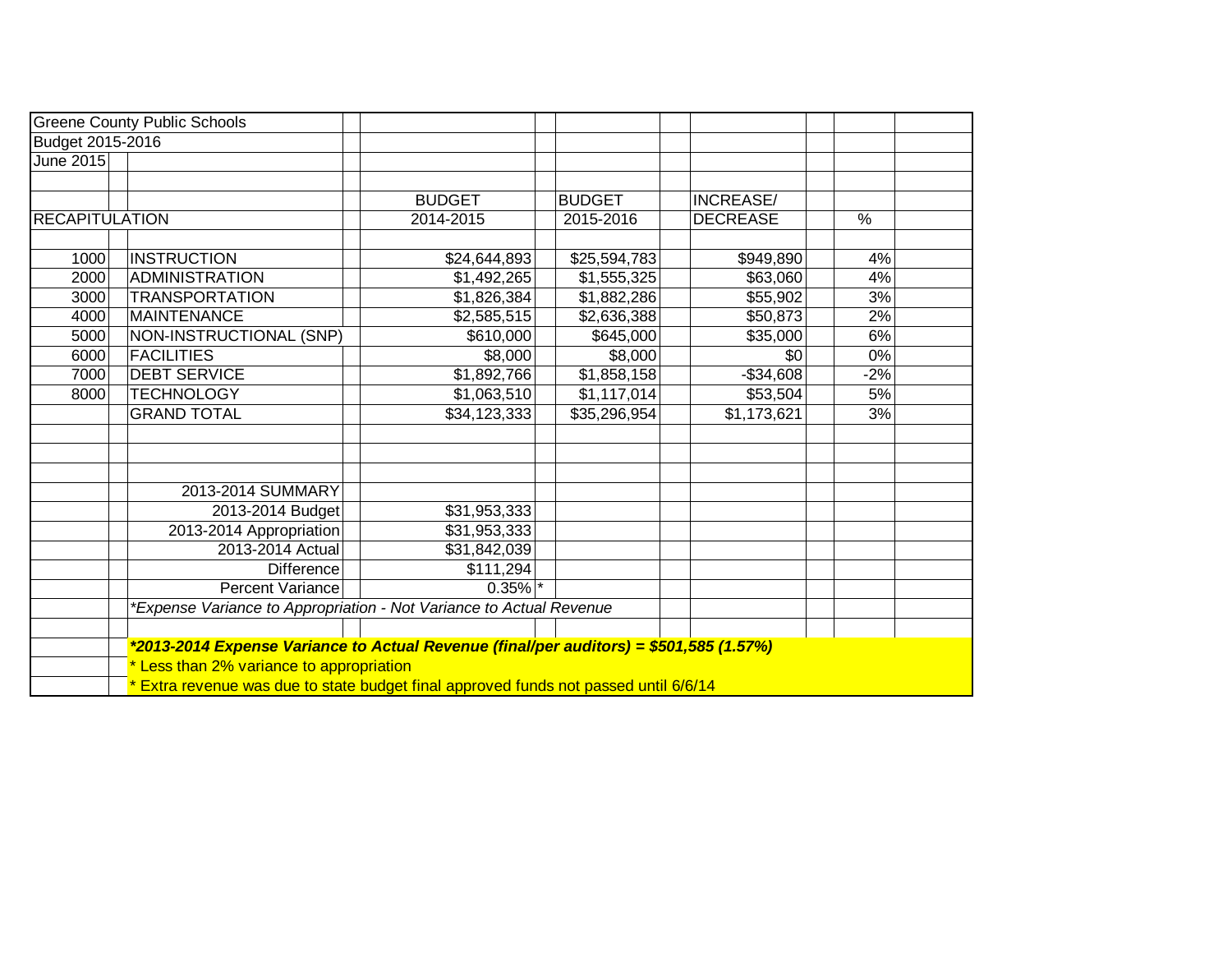|                       | <b>Greene County Public Schools</b>                                                    |               |  |               |  |                 |  |       |  |  |
|-----------------------|----------------------------------------------------------------------------------------|---------------|--|---------------|--|-----------------|--|-------|--|--|
| Budget 2015-2016      |                                                                                        |               |  |               |  |                 |  |       |  |  |
| <b>June 2015</b>      |                                                                                        |               |  |               |  |                 |  |       |  |  |
|                       |                                                                                        |               |  |               |  |                 |  |       |  |  |
|                       |                                                                                        | <b>BUDGET</b> |  | <b>BUDGET</b> |  | INCREASE/       |  |       |  |  |
| <b>RECAPITULATION</b> |                                                                                        | 2014-2015     |  | 2015-2016     |  | <b>DECREASE</b> |  | %     |  |  |
|                       |                                                                                        |               |  |               |  |                 |  |       |  |  |
| 1000                  | <b>INSTRUCTION</b>                                                                     | \$24,644,893  |  | \$25,594,783  |  | \$949,890       |  | 4%    |  |  |
| 2000                  | ADMINISTRATION                                                                         | \$1,492,265   |  | \$1,555,325   |  | \$63,060        |  | 4%    |  |  |
| 3000                  | <b>TRANSPORTATION</b>                                                                  | \$1,826,384   |  | \$1,882,286   |  | \$55,902        |  | 3%    |  |  |
| 4000                  | <b>MAINTENANCE</b>                                                                     | \$2,585,515   |  | \$2,636,388   |  | \$50,873        |  | 2%    |  |  |
| 5000                  | NON-INSTRUCTIONAL (SNP)                                                                | \$610,000     |  | \$645,000     |  | \$35,000        |  | 6%    |  |  |
| 6000                  | <b>FACILITIES</b>                                                                      | \$8,000       |  | \$8,000       |  | \$0             |  | 0%    |  |  |
| 7000                  | <b>DEBT SERVICE</b>                                                                    | \$1,892,766   |  | \$1,858,158   |  | $-$ \$34,608    |  | $-2%$ |  |  |
| 8000                  | <b>TECHNOLOGY</b>                                                                      | \$1,063,510   |  | \$1,117,014   |  | \$53,504        |  | 5%    |  |  |
|                       | <b>GRAND TOTAL</b>                                                                     | \$34,123,333  |  | \$35,296,954  |  | \$1,173,621     |  | 3%    |  |  |
|                       |                                                                                        |               |  |               |  |                 |  |       |  |  |
|                       |                                                                                        |               |  |               |  |                 |  |       |  |  |
|                       |                                                                                        |               |  |               |  |                 |  |       |  |  |
|                       | 2013-2014 SUMMARY                                                                      |               |  |               |  |                 |  |       |  |  |
|                       | 2013-2014 Budget                                                                       | \$31,953,333  |  |               |  |                 |  |       |  |  |
|                       | 2013-2014 Appropriation                                                                | \$31,953,333  |  |               |  |                 |  |       |  |  |
|                       | 2013-2014 Actual                                                                       | \$31,842,039  |  |               |  |                 |  |       |  |  |
|                       | <b>Difference</b>                                                                      | \$111,294     |  |               |  |                 |  |       |  |  |
|                       | Percent Variance                                                                       | $0.35\%$ *    |  |               |  |                 |  |       |  |  |
|                       | *Expense Variance to Appropriation - Not Variance to Actual Revenue                    |               |  |               |  |                 |  |       |  |  |
|                       |                                                                                        |               |  |               |  |                 |  |       |  |  |
|                       | *2013-2014 Expense Variance to Actual Revenue (final/per auditors) = \$501,585 (1.57%) |               |  |               |  |                 |  |       |  |  |
|                       | * Less than 2% variance to appropriation                                               |               |  |               |  |                 |  |       |  |  |
|                       | * Extra revenue was due to state budget final approved funds not passed until 6/6/14   |               |  |               |  |                 |  |       |  |  |